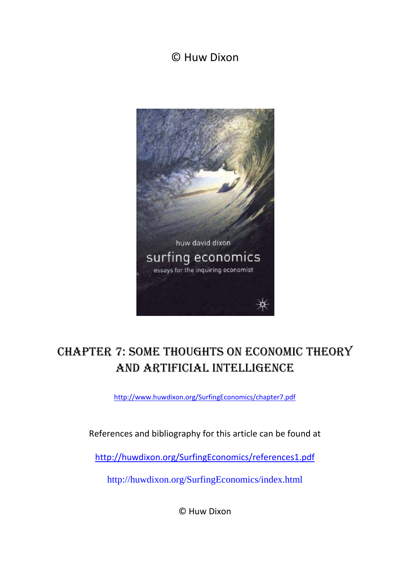# © Huw Dixon



# CHAPTER 7: SOME THOUGHTS ON ECONOMIC THEORY AND ARTIFICIAL INTELLIGENCE

http://www.huwdixon.org/SurfingEconomics/chapter7.pdf

References and bibliography for this article can be found at

http://huwdixon.org/SurfingEconomics/references1.pdf

http://huwdixon.org/SurfingEconomics/index.html

© Huw Dixon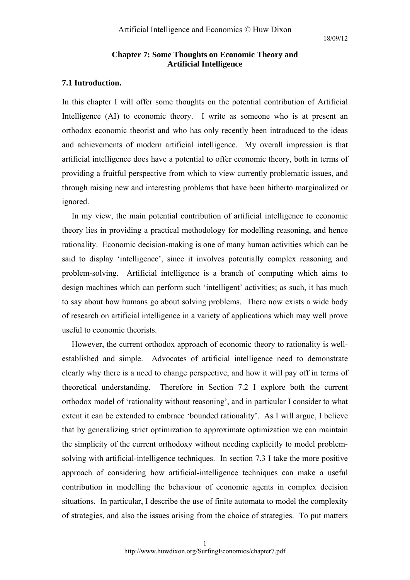#### **Chapter 7: Some Thoughts on Economic Theory and Artificial Intelligence**

#### **7.1 Introduction.**

In this chapter I will offer some thoughts on the potential contribution of Artificial Intelligence (AI) to economic theory. I write as someone who is at present an orthodox economic theorist and who has only recently been introduced to the ideas and achievements of modern artificial intelligence. My overall impression is that artificial intelligence does have a potential to offer economic theory, both in terms of providing a fruitful perspective from which to view currently problematic issues, and through raising new and interesting problems that have been hitherto marginalized or ignored.

 In my view, the main potential contribution of artificial intelligence to economic theory lies in providing a practical methodology for modelling reasoning, and hence rationality. Economic decision-making is one of many human activities which can be said to display 'intelligence', since it involves potentially complex reasoning and problem-solving. Artificial intelligence is a branch of computing which aims to design machines which can perform such 'intelligent' activities; as such, it has much to say about how humans go about solving problems. There now exists a wide body of research on artificial intelligence in a variety of applications which may well prove useful to economic theorists.

 However, the current orthodox approach of economic theory to rationality is wellestablished and simple. Advocates of artificial intelligence need to demonstrate clearly why there is a need to change perspective, and how it will pay off in terms of theoretical understanding. Therefore in Section 7.2 I explore both the current orthodox model of 'rationality without reasoning', and in particular I consider to what extent it can be extended to embrace 'bounded rationality'. As I will argue, I believe that by generalizing strict optimization to approximate optimization we can maintain the simplicity of the current orthodoxy without needing explicitly to model problemsolving with artificial-intelligence techniques. In section 7.3 I take the more positive approach of considering how artificial-intelligence techniques can make a useful contribution in modelling the behaviour of economic agents in complex decision situations. In particular, I describe the use of finite automata to model the complexity of strategies, and also the issues arising from the choice of strategies. To put matters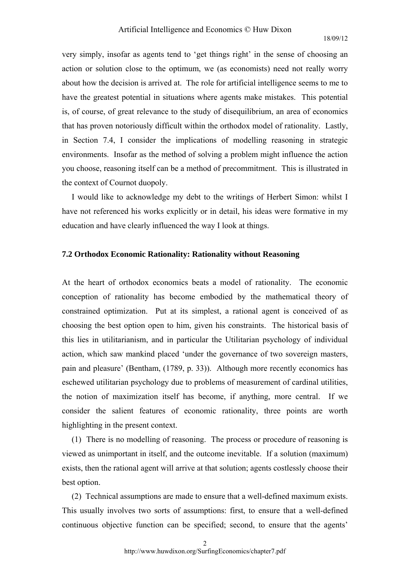very simply, insofar as agents tend to 'get things right' in the sense of choosing an action or solution close to the optimum, we (as economists) need not really worry about how the decision is arrived at. The role for artificial intelligence seems to me to have the greatest potential in situations where agents make mistakes. This potential is, of course, of great relevance to the study of disequilibrium, an area of economics that has proven notoriously difficult within the orthodox model of rationality. Lastly, in Section 7.4, I consider the implications of modelling reasoning in strategic environments. Insofar as the method of solving a problem might influence the action you choose, reasoning itself can be a method of precommitment. This is illustrated in the context of Cournot duopoly.

 I would like to acknowledge my debt to the writings of Herbert Simon: whilst I have not referenced his works explicitly or in detail, his ideas were formative in my education and have clearly influenced the way I look at things.

# **7.2 Orthodox Economic Rationality: Rationality without Reasoning**

At the heart of orthodox economics beats a model of rationality. The economic conception of rationality has become embodied by the mathematical theory of constrained optimization. Put at its simplest, a rational agent is conceived of as choosing the best option open to him, given his constraints. The historical basis of this lies in utilitarianism, and in particular the Utilitarian psychology of individual action, which saw mankind placed 'under the governance of two sovereign masters, pain and pleasure' (Bentham, (1789, p. 33)). Although more recently economics has eschewed utilitarian psychology due to problems of measurement of cardinal utilities, the notion of maximization itself has become, if anything, more central. If we consider the salient features of economic rationality, three points are worth highlighting in the present context.

 (1) There is no modelling of reasoning. The process or procedure of reasoning is viewed as unimportant in itself, and the outcome inevitable. If a solution (maximum) exists, then the rational agent will arrive at that solution; agents costlessly choose their best option.

 (2) Technical assumptions are made to ensure that a well-defined maximum exists. This usually involves two sorts of assumptions: first, to ensure that a well-defined continuous objective function can be specified; second, to ensure that the agents'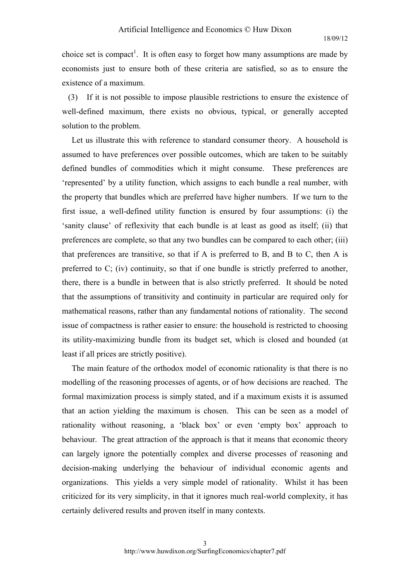choice set is compact<sup>1</sup>. It is often easy to forget how many assumptions are made by economists just to ensure both of these criteria are satisfied, so as to ensure the existence of a maximum.

 (3) If it is not possible to impose plausible restrictions to ensure the existence of well-defined maximum, there exists no obvious, typical, or generally accepted solution to the problem.

 Let us illustrate this with reference to standard consumer theory. A household is assumed to have preferences over possible outcomes, which are taken to be suitably defined bundles of commodities which it might consume. These preferences are 'represented' by a utility function, which assigns to each bundle a real number, with the property that bundles which are preferred have higher numbers. If we turn to the first issue, a well-defined utility function is ensured by four assumptions: (i) the 'sanity clause' of reflexivity that each bundle is at least as good as itself; (ii) that preferences are complete, so that any two bundles can be compared to each other; (iii) that preferences are transitive, so that if A is preferred to B, and B to C, then A is preferred to C; (iv) continuity, so that if one bundle is strictly preferred to another, there, there is a bundle in between that is also strictly preferred. It should be noted that the assumptions of transitivity and continuity in particular are required only for mathematical reasons, rather than any fundamental notions of rationality. The second issue of compactness is rather easier to ensure: the household is restricted to choosing its utility-maximizing bundle from its budget set, which is closed and bounded (at least if all prices are strictly positive).

 The main feature of the orthodox model of economic rationality is that there is no modelling of the reasoning processes of agents, or of how decisions are reached. The formal maximization process is simply stated, and if a maximum exists it is assumed that an action yielding the maximum is chosen. This can be seen as a model of rationality without reasoning, a 'black box' or even 'empty box' approach to behaviour. The great attraction of the approach is that it means that economic theory can largely ignore the potentially complex and diverse processes of reasoning and decision-making underlying the behaviour of individual economic agents and organizations. This yields a very simple model of rationality. Whilst it has been criticized for its very simplicity, in that it ignores much real-world complexity, it has certainly delivered results and proven itself in many contexts.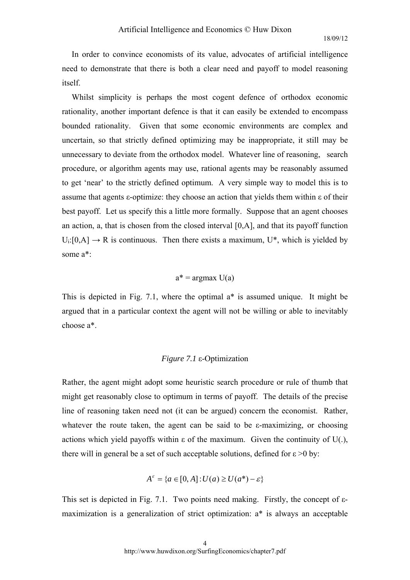In order to convince economists of its value, advocates of artificial intelligence need to demonstrate that there is both a clear need and payoff to model reasoning itself.

 Whilst simplicity is perhaps the most cogent defence of orthodox economic rationality, another important defence is that it can easily be extended to encompass bounded rationality. Given that some economic environments are complex and uncertain, so that strictly defined optimizing may be inappropriate, it still may be unnecessary to deviate from the orthodox model. Whatever line of reasoning, search procedure, or algorithm agents may use, rational agents may be reasonably assumed to get 'near' to the strictly defined optimum. A very simple way to model this is to assume that agents ε-optimize: they choose an action that yields them within ε of their best payoff. Let us specify this a little more formally. Suppose that an agent chooses an action, a, that is chosen from the closed interval [0,A], and that its payoff function  $U_i$ :[0,A]  $\rightarrow$  R is continuous. Then there exists a maximum, U<sup>\*</sup>, which is yielded by some a\*:

$$
a^* = \text{argmax } U(a)
$$

This is depicted in Fig. 7.1, where the optimal a\* is assumed unique. It might be argued that in a particular context the agent will not be willing or able to inevitably choose a\*.

#### *Figure 7.1* ε-Optimization

Rather, the agent might adopt some heuristic search procedure or rule of thumb that might get reasonably close to optimum in terms of payoff. The details of the precise line of reasoning taken need not (it can be argued) concern the economist. Rather, whatever the route taken, the agent can be said to be ε-maximizing, or choosing actions which yield payoffs within ε of the maximum. Given the continuity of U(.), there will in general be a set of such acceptable solutions, defined for  $\varepsilon > 0$  by:

$$
A^{\varepsilon} = \{a \in [0, A]: U(a) \ge U(a^*) - \varepsilon\}
$$

This set is depicted in Fig. 7.1. Two points need making. Firstly, the concept of εmaximization is a generalization of strict optimization: a\* is always an acceptable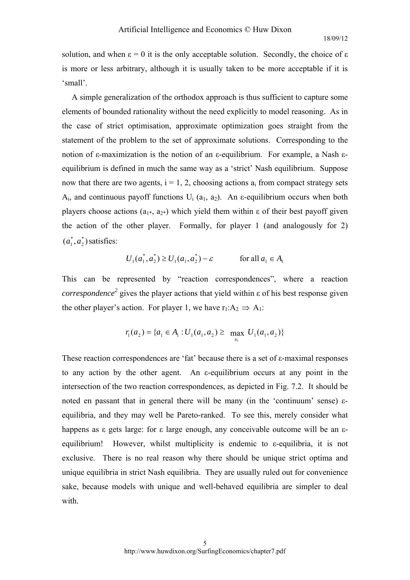solution, and when  $\epsilon = 0$  it is the only acceptable solution. Secondly, the choice of  $\epsilon$ is more or less arbitrary, although it is usually taken to be more acceptable if it is 'small'.

 A simple generalization of the orthodox approach is thus sufficient to capture some elements of bounded rationality without the need explicitly to model reasoning. As in the case of strict optimisation, approximate optimization goes straight from the statement of the problem to the set of approximate solutions. Corresponding to the notion of ε-maximization is the notion of an ε-equilibrium. For example, a Nash εequilibrium is defined in much the same way as a 'strict' Nash equilibrium. Suppose now that there are two agents,  $i = 1, 2$ , choosing actions  $a_i$  from compact strategy sets A<sub>i</sub>, and continuous payoff functions  $U_i$  (a<sub>1</sub>, a<sub>2</sub>). An *ε*-equilibrium occurs when both players choose actions ( $a_{1*}$ ,  $a_{2*}$ ) which yield them within  $\varepsilon$  of their best payoff given the action of the other player. Formally, for player 1 (and analogously for 2)  $(a_1^*, a_2^*)$  $a_1^*, a_2^*$ ) satisfies:

$$
U_1(a_1^*, a_2^*) \ge U_1(a_1, a_2^*) - \varepsilon \qquad \text{for all } a_1 \in A_1
$$

This can be represented by "reaction correspondences", where a reaction *correspondence<sup>2</sup>* gives the player actions that yield within ε of his best response given the other player's action. For player 1, we have  $r_1:A_2 \Rightarrow A_1$ :

$$
r_1(a_2) = \{a_1 \in A_1 : U_1(a_1, a_2) \ge \max_{a_1} U_1(a_1, a_2)\}
$$

These reaction correspondences are 'fat' because there is a set of ε-maximal responses to any action by the other agent. An ε-equilibrium occurs at any point in the intersection of the two reaction correspondences, as depicted in Fig. 7.2. It should be noted en passant that in general there will be many (in the 'continuum' sense) εequilibria, and they may well be Pareto-ranked. To see this, merely consider what happens as ε gets large: for ε large enough, any conceivable outcome will be an εequilibrium! However, whilst multiplicity is endemic to ε-equilibria, it is not exclusive. There is no real reason why there should be unique strict optima and unique equilibria in strict Nash equilibria. They are usually ruled out for convenience sake, because models with unique and well-behaved equilibria are simpler to deal with.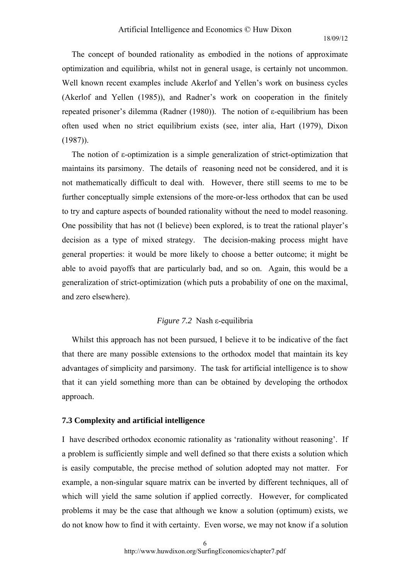The concept of bounded rationality as embodied in the notions of approximate optimization and equilibria, whilst not in general usage, is certainly not uncommon. Well known recent examples include Akerlof and Yellen's work on business cycles (Akerlof and Yellen (1985)), and Radner's work on cooperation in the finitely repeated prisoner's dilemma (Radner (1980)). The notion of ε-equilibrium has been often used when no strict equilibrium exists (see, inter alia, Hart (1979), Dixon (1987)).

 The notion of ε-optimization is a simple generalization of strict-optimization that maintains its parsimony. The details of reasoning need not be considered, and it is not mathematically difficult to deal with. However, there still seems to me to be further conceptually simple extensions of the more-or-less orthodox that can be used to try and capture aspects of bounded rationality without the need to model reasoning. One possibility that has not (I believe) been explored, is to treat the rational player's decision as a type of mixed strategy. The decision-making process might have general properties: it would be more likely to choose a better outcome; it might be able to avoid payoffs that are particularly bad, and so on. Again, this would be a generalization of strict-optimization (which puts a probability of one on the maximal, and zero elsewhere).

#### *Figure 7.2* Nash ε-equilibria

 Whilst this approach has not been pursued, I believe it to be indicative of the fact that there are many possible extensions to the orthodox model that maintain its key advantages of simplicity and parsimony. The task for artificial intelligence is to show that it can yield something more than can be obtained by developing the orthodox approach.

#### **7.3 Complexity and artificial intelligence**

I have described orthodox economic rationality as 'rationality without reasoning'. If a problem is sufficiently simple and well defined so that there exists a solution which is easily computable, the precise method of solution adopted may not matter. For example, a non-singular square matrix can be inverted by different techniques, all of which will yield the same solution if applied correctly. However, for complicated problems it may be the case that although we know a solution (optimum) exists, we do not know how to find it with certainty. Even worse, we may not know if a solution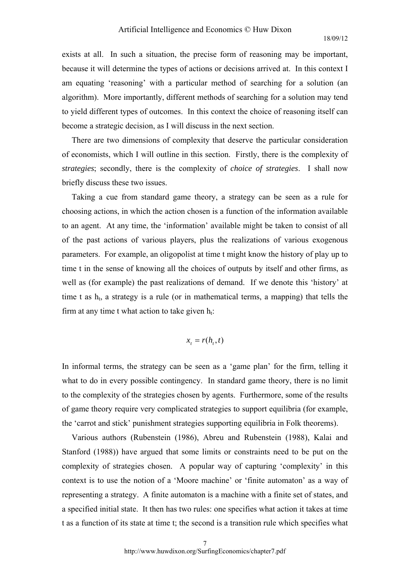exists at all. In such a situation, the precise form of reasoning may be important, because it will determine the types of actions or decisions arrived at. In this context I am equating 'reasoning' with a particular method of searching for a solution (an algorithm). More importantly, different methods of searching for a solution may tend to yield different types of outcomes. In this context the choice of reasoning itself can become a strategic decision, as I will discuss in the next section.

 There are two dimensions of complexity that deserve the particular consideration of economists, which I will outline in this section. Firstly, there is the complexity of *strategies*; secondly, there is the complexity of *choice of strategies*. I shall now briefly discuss these two issues.

 Taking a cue from standard game theory, a strategy can be seen as a rule for choosing actions, in which the action chosen is a function of the information available to an agent. At any time, the 'information' available might be taken to consist of all of the past actions of various players, plus the realizations of various exogenous parameters. For example, an oligopolist at time t might know the history of play up to time t in the sense of knowing all the choices of outputs by itself and other firms, as well as (for example) the past realizations of demand. If we denote this 'history' at time t as  $h_t$ , a strategy is a rule (or in mathematical terms, a mapping) that tells the firm at any time t what action to take given  $h_t$ :

$$
x_t = r(h_t, t)
$$

In informal terms, the strategy can be seen as a 'game plan' for the firm, telling it what to do in every possible contingency. In standard game theory, there is no limit to the complexity of the strategies chosen by agents. Furthermore, some of the results of game theory require very complicated strategies to support equilibria (for example, the 'carrot and stick' punishment strategies supporting equilibria in Folk theorems).

 Various authors (Rubenstein (1986), Abreu and Rubenstein (1988), Kalai and Stanford (1988)) have argued that some limits or constraints need to be put on the complexity of strategies chosen. A popular way of capturing 'complexity' in this context is to use the notion of a 'Moore machine' or 'finite automaton' as a way of representing a strategy. A finite automaton is a machine with a finite set of states, and a specified initial state. It then has two rules: one specifies what action it takes at time t as a function of its state at time t; the second is a transition rule which specifies what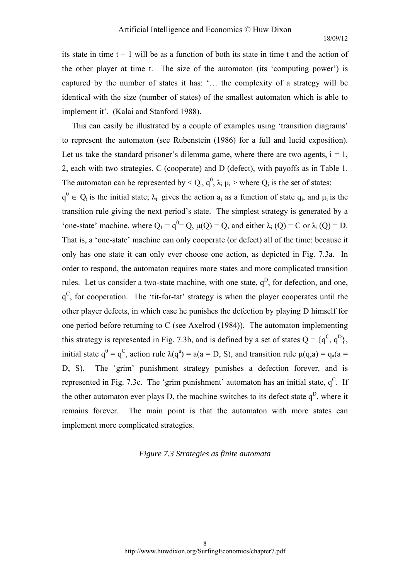its state in time  $t + 1$  will be as a function of both its state in time t and the action of the other player at time t. The size of the automaton (its 'computing power') is captured by the number of states it has: '… the complexity of a strategy will be identical with the size (number of states) of the smallest automaton which is able to implement it'. (Kalai and Stanford 1988).

 This can easily be illustrated by a couple of examples using 'transition diagrams' to represent the automaton (see Rubenstein (1986) for a full and lucid exposition). Let us take the standard prisoner's dilemma game, where there are two agents,  $i = 1$ , 2, each with two strategies, C (cooperate) and D (defect), with payoffs as in Table 1. The automaton can be represented by  $\langle Q_i, q^0, \lambda_i | \mu_i \rangle$  where  $Q_i$  is the set of states;

 $q^0 \in Q_i$  is the initial state;  $\lambda_i$  gives the action  $a_i$  as a function of state  $q_i$ , and  $\mu_i$  is the transition rule giving the next period's state. The simplest strategy is generated by a 'one-state' machine, where  $Q_1 = q^0 = Q$ ,  $\mu(Q) = Q$ , and either  $\lambda_i(Q) = C$  or  $\lambda_i(Q) = D$ . That is, a 'one-state' machine can only cooperate (or defect) all of the time: because it only has one state it can only ever choose one action, as depicted in Fig. 7.3a. In order to respond, the automaton requires more states and more complicated transition rules. Let us consider a two-state machine, with one state,  $q^D$ , for defection, and one,  $q^C$ , for cooperation. The 'tit-for-tat' strategy is when the player cooperates until the other player defects, in which case he punishes the defection by playing D himself for one period before returning to C (see Axelrod (1984)). The automaton implementing this strategy is represented in Fig. 7.3b, and is defined by a set of states  $Q = \{q^C, q^D\}$ , initial state  $q^0 = q^C$ , action rule  $\lambda(q^a) = a(a = D, S)$ , and transition rule  $\mu(q, a) = q_a(a = D, S)$ D, S). The 'grim' punishment strategy punishes a defection forever, and is represented in Fig. 7.3c. The 'grim punishment' automaton has an initial state,  $q^C$ . If the other automaton ever plays D, the machine switches to its defect state  $q<sup>D</sup>$ , where it remains forever. The main point is that the automaton with more states can implement more complicated strategies.

#### *Figure 7.3 Strategies as finite automata*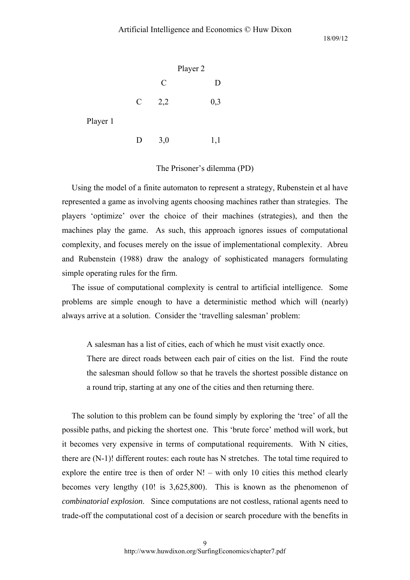|          |               | Player 2      |     |
|----------|---------------|---------------|-----|
|          |               | $\mathcal{C}$ |     |
|          | $\mathcal{C}$ | 2,2           | 0,3 |
| Player 1 |               |               |     |
|          |               | 3,0           | 1,1 |

The Prisoner's dilemma (PD)

 Using the model of a finite automaton to represent a strategy, Rubenstein et al have represented a game as involving agents choosing machines rather than strategies. The players 'optimize' over the choice of their machines (strategies), and then the machines play the game. As such, this approach ignores issues of computational complexity, and focuses merely on the issue of implementational complexity. Abreu and Rubenstein (1988) draw the analogy of sophisticated managers formulating simple operating rules for the firm.

 The issue of computational complexity is central to artificial intelligence. Some problems are simple enough to have a deterministic method which will (nearly) always arrive at a solution. Consider the 'travelling salesman' problem:

A salesman has a list of cities, each of which he must visit exactly once.

 There are direct roads between each pair of cities on the list. Find the route the salesman should follow so that he travels the shortest possible distance on a round trip, starting at any one of the cities and then returning there.

 The solution to this problem can be found simply by exploring the 'tree' of all the possible paths, and picking the shortest one. This 'brute force' method will work, but it becomes very expensive in terms of computational requirements. With N cities, there are (N-1)! different routes: each route has N stretches. The total time required to explore the entire tree is then of order N! – with only 10 cities this method clearly becomes very lengthy (10! is 3,625,800). This is known as the phenomenon of *combinatorial explosion*. Since computations are not costless, rational agents need to trade-off the computational cost of a decision or search procedure with the benefits in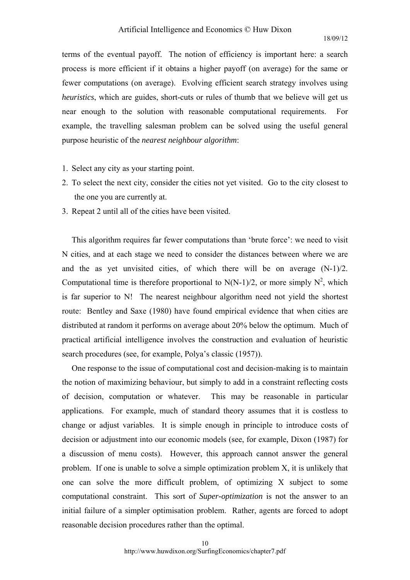terms of the eventual payoff. The notion of efficiency is important here: a search process is more efficient if it obtains a higher payoff (on average) for the same or fewer computations (on average). Evolving efficient search strategy involves using *heuristics*, which are guides, short-cuts or rules of thumb that we believe will get us near enough to the solution with reasonable computational requirements. For example, the travelling salesman problem can be solved using the useful general purpose heuristic of the *nearest neighbour algorithm*:

- 1. Select any city as your starting point.
- 2. To select the next city, consider the cities not yet visited. Go to the city closest to the one you are currently at.
- 3. Repeat 2 until all of the cities have been visited.

 This algorithm requires far fewer computations than 'brute force': we need to visit N cities, and at each stage we need to consider the distances between where we are and the as yet unvisited cities, of which there will be on average (N-1)/2. Computational time is therefore proportional to  $N(N-1)/2$ , or more simply  $N^2$ , which is far superior to N! The nearest neighbour algorithm need not yield the shortest route: Bentley and Saxe (1980) have found empirical evidence that when cities are distributed at random it performs on average about 20% below the optimum. Much of practical artificial intelligence involves the construction and evaluation of heuristic search procedures (see, for example, Polya's classic (1957)).

 One response to the issue of computational cost and decision-making is to maintain the notion of maximizing behaviour, but simply to add in a constraint reflecting costs of decision, computation or whatever. This may be reasonable in particular applications. For example, much of standard theory assumes that it is costless to change or adjust variables. It is simple enough in principle to introduce costs of decision or adjustment into our economic models (see, for example, Dixon (1987) for a discussion of menu costs). However, this approach cannot answer the general problem. If one is unable to solve a simple optimization problem X, it is unlikely that one can solve the more difficult problem, of optimizing X subject to some computational constraint. This sort of *Super-optimization* is not the answer to an initial failure of a simpler optimisation problem. Rather, agents are forced to adopt reasonable decision procedures rather than the optimal.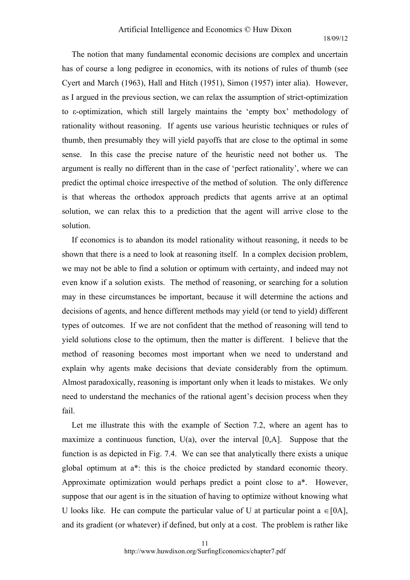The notion that many fundamental economic decisions are complex and uncertain has of course a long pedigree in economics, with its notions of rules of thumb (see Cyert and March (1963), Hall and Hitch (1951), Simon (1957) inter alia). However, as I argued in the previous section, we can relax the assumption of strict-optimization to ε-optimization, which still largely maintains the 'empty box' methodology of rationality without reasoning. If agents use various heuristic techniques or rules of thumb, then presumably they will yield payoffs that are close to the optimal in some sense. In this case the precise nature of the heuristic need not bother us. The argument is really no different than in the case of 'perfect rationality', where we can predict the optimal choice irrespective of the method of solution. The only difference is that whereas the orthodox approach predicts that agents arrive at an optimal solution, we can relax this to a prediction that the agent will arrive close to the solution.

 If economics is to abandon its model rationality without reasoning, it needs to be shown that there is a need to look at reasoning itself. In a complex decision problem, we may not be able to find a solution or optimum with certainty, and indeed may not even know if a solution exists. The method of reasoning, or searching for a solution may in these circumstances be important, because it will determine the actions and decisions of agents, and hence different methods may yield (or tend to yield) different types of outcomes. If we are not confident that the method of reasoning will tend to yield solutions close to the optimum, then the matter is different. I believe that the method of reasoning becomes most important when we need to understand and explain why agents make decisions that deviate considerably from the optimum. Almost paradoxically, reasoning is important only when it leads to mistakes. We only need to understand the mechanics of the rational agent's decision process when they fail.

 Let me illustrate this with the example of Section 7.2, where an agent has to maximize a continuous function, U(a), over the interval [0,A]. Suppose that the function is as depicted in Fig. 7.4. We can see that analytically there exists a unique global optimum at a\*: this is the choice predicted by standard economic theory. Approximate optimization would perhaps predict a point close to a\*. However, suppose that our agent is in the situation of having to optimize without knowing what U looks like. He can compute the particular value of U at particular point  $a \in [0,1]$ , and its gradient (or whatever) if defined, but only at a cost. The problem is rather like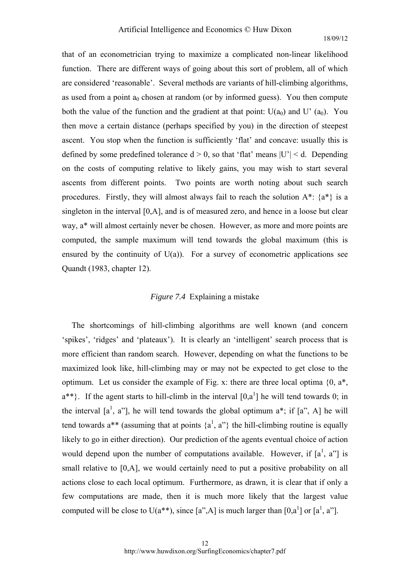that of an econometrician trying to maximize a complicated non-linear likelihood function. There are different ways of going about this sort of problem, all of which are considered 'reasonable'. Several methods are variants of hill-climbing algorithms, as used from a point  $a_0$  chosen at random (or by informed guess). You then compute both the value of the function and the gradient at that point:  $U(a_0)$  and  $U' (a_0)$ . You then move a certain distance (perhaps specified by you) in the direction of steepest ascent. You stop when the function is sufficiently 'flat' and concave: usually this is defined by some predefined tolerance  $d > 0$ , so that 'flat' means  $|U'| < d$ . Depending on the costs of computing relative to likely gains, you may wish to start several ascents from different points. Two points are worth noting about such search procedures. Firstly, they will almost always fail to reach the solution  $A^*$ :  $\{a^*\}\$ is a singleton in the interval [0,A], and is of measured zero, and hence in a loose but clear way, a\* will almost certainly never be chosen. However, as more and more points are computed, the sample maximum will tend towards the global maximum (this is ensured by the continuity of  $U(a)$ ). For a survey of econometric applications see Quandt (1983, chapter 12).

# *Figure 7.4* Explaining a mistake

 The shortcomings of hill-climbing algorithms are well known (and concern 'spikes', 'ridges' and 'plateaux'). It is clearly an 'intelligent' search process that is more efficient than random search. However, depending on what the functions to be maximized look like, hill-climbing may or may not be expected to get close to the optimum. Let us consider the example of Fig. x: there are three local optima  ${0, a^*}$ .  $a^{**}$ . If the agent starts to hill-climb in the interval  $[0,a^1]$  he will tend towards 0; in the interval  $[a^1, a^2]$ , he will tend towards the global optimum  $a^*$ ; if  $[a^2, A]$  he will tend towards  $a^{**}$  (assuming that at points  $\{a^1, a^r\}$  the hill-climbing routine is equally likely to go in either direction). Our prediction of the agents eventual choice of action would depend upon the number of computations available. However, if  $[a^1, a^2]$  is small relative to [0,A], we would certainly need to put a positive probability on all actions close to each local optimum. Furthermore, as drawn, it is clear that if only a few computations are made, then it is much more likely that the largest value computed will be close to U( $a^{**}$ ), since [a",A] is much larger than [0, $a^1$ ] or [ $a^1$ , a"].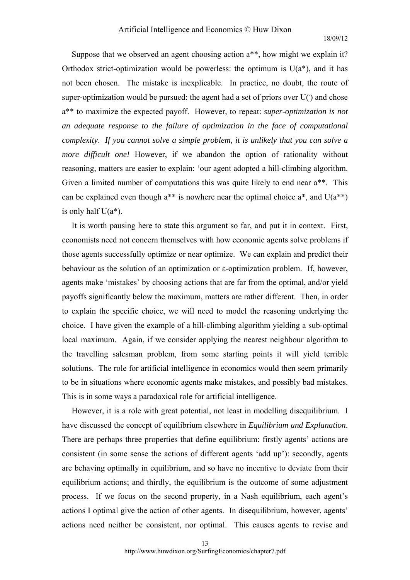Suppose that we observed an agent choosing action a\*\*, how might we explain it? Orthodox strict-optimization would be powerless: the optimum is  $U(a^*)$ , and it has not been chosen. The mistake is inexplicable. In practice, no doubt, the route of super-optimization would be pursued: the agent had a set of priors over  $U($  ) and chose a\*\* to maximize the expected payoff. However, to repeat: *super-optimization is not an adequate response to the failure of optimization in the face of computational complexity*. *If you cannot solve a simple problem, it is unlikely that you can solve a more difficult one!* However, if we abandon the option of rationality without reasoning, matters are easier to explain: 'our agent adopted a hill-climbing algorithm. Given a limited number of computations this was quite likely to end near a\*\*. This can be explained even though  $a^{**}$  is nowhere near the optimal choice  $a^*$ , and  $U(a^{**})$ is only half  $U(a^*)$ .

 It is worth pausing here to state this argument so far, and put it in context. First, economists need not concern themselves with how economic agents solve problems if those agents successfully optimize or near optimize. We can explain and predict their behaviour as the solution of an optimization or ε-optimization problem. If, however, agents make 'mistakes' by choosing actions that are far from the optimal, and/or yield payoffs significantly below the maximum, matters are rather different. Then, in order to explain the specific choice, we will need to model the reasoning underlying the choice. I have given the example of a hill-climbing algorithm yielding a sub-optimal local maximum. Again, if we consider applying the nearest neighbour algorithm to the travelling salesman problem, from some starting points it will yield terrible solutions. The role for artificial intelligence in economics would then seem primarily to be in situations where economic agents make mistakes, and possibly bad mistakes. This is in some ways a paradoxical role for artificial intelligence.

 However, it is a role with great potential, not least in modelling disequilibrium. I have discussed the concept of equilibrium elsewhere in *Equilibrium and Explanation*. There are perhaps three properties that define equilibrium: firstly agents' actions are consistent (in some sense the actions of different agents 'add up'): secondly, agents are behaving optimally in equilibrium, and so have no incentive to deviate from their equilibrium actions; and thirdly, the equilibrium is the outcome of some adjustment process. If we focus on the second property, in a Nash equilibrium, each agent's actions I optimal give the action of other agents. In disequilibrium, however, agents' actions need neither be consistent, nor optimal. This causes agents to revise and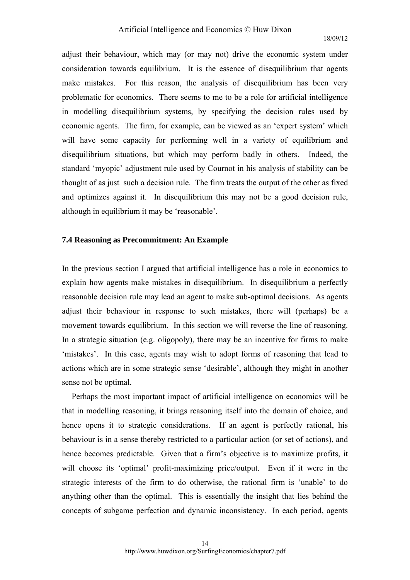adjust their behaviour, which may (or may not) drive the economic system under consideration towards equilibrium. It is the essence of disequilibrium that agents make mistakes. For this reason, the analysis of disequilibrium has been very problematic for economics. There seems to me to be a role for artificial intelligence in modelling disequilibrium systems, by specifying the decision rules used by economic agents. The firm, for example, can be viewed as an 'expert system' which will have some capacity for performing well in a variety of equilibrium and disequilibrium situations, but which may perform badly in others. Indeed, the standard 'myopic' adjustment rule used by Cournot in his analysis of stability can be thought of as just such a decision rule. The firm treats the output of the other as fixed and optimizes against it. In disequilibrium this may not be a good decision rule, although in equilibrium it may be 'reasonable'.

#### **7.4 Reasoning as Precommitment: An Example**

In the previous section I argued that artificial intelligence has a role in economics to explain how agents make mistakes in disequilibrium. In disequilibrium a perfectly reasonable decision rule may lead an agent to make sub-optimal decisions. As agents adjust their behaviour in response to such mistakes, there will (perhaps) be a movement towards equilibrium. In this section we will reverse the line of reasoning. In a strategic situation (e.g. oligopoly), there may be an incentive for firms to make 'mistakes'. In this case, agents may wish to adopt forms of reasoning that lead to actions which are in some strategic sense 'desirable', although they might in another sense not be optimal.

 Perhaps the most important impact of artificial intelligence on economics will be that in modelling reasoning, it brings reasoning itself into the domain of choice, and hence opens it to strategic considerations. If an agent is perfectly rational, his behaviour is in a sense thereby restricted to a particular action (or set of actions), and hence becomes predictable. Given that a firm's objective is to maximize profits, it will choose its 'optimal' profit-maximizing price/output. Even if it were in the strategic interests of the firm to do otherwise, the rational firm is 'unable' to do anything other than the optimal. This is essentially the insight that lies behind the concepts of subgame perfection and dynamic inconsistency. In each period, agents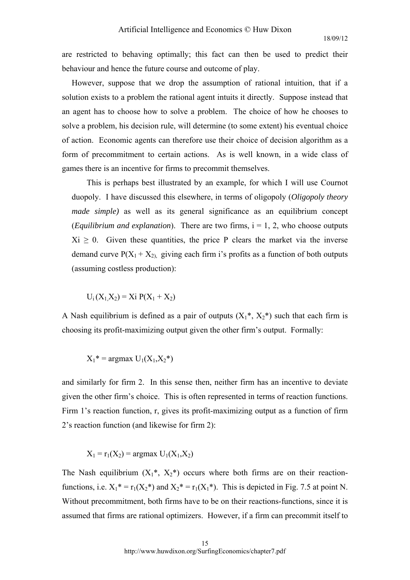are restricted to behaving optimally; this fact can then be used to predict their behaviour and hence the future course and outcome of play.

 However, suppose that we drop the assumption of rational intuition, that if a solution exists to a problem the rational agent intuits it directly. Suppose instead that an agent has to choose how to solve a problem. The choice of how he chooses to solve a problem, his decision rule, will determine (to some extent) his eventual choice of action. Economic agents can therefore use their choice of decision algorithm as a form of precommitment to certain actions. As is well known, in a wide class of games there is an incentive for firms to precommit themselves.

 This is perhaps best illustrated by an example, for which I will use Cournot duopoly. I have discussed this elsewhere, in terms of oligopoly (*Oligopoly theory made simple*) as well as its general significance as an equilibrium concept (*Equilibrium and explanation*). There are two firms,  $i = 1, 2$ , who choose outputs  $Xi \ge 0$ . Given these quantities, the price P clears the market via the inverse demand curve  $P(X_1 + X_2)$  giving each firm i's profits as a function of both outputs (assuming costless production):

 $U_i (X_1 X_2) = X_i P(X_1 + X_2)$ 

A Nash equilibrium is defined as a pair of outputs  $(X_1^*, X_2^*)$  such that each firm is choosing its profit-maximizing output given the other firm's output. Formally:

 $X_1^*$  = argmax  $U_1(X_1, X_2^*)$ 

and similarly for firm 2. In this sense then, neither firm has an incentive to deviate given the other firm's choice. This is often represented in terms of reaction functions. Firm 1's reaction function, r, gives its profit-maximizing output as a function of firm 2's reaction function (and likewise for firm 2):

 $X_1 = r_1(X_2) = \text{argmax } U_1(X_1, X_2)$ 

The Nash equilibrium  $(X_1^*, X_2^*)$  occurs where both firms are on their reactionfunctions, i.e.  $X_1^* = r_1(X_2^*)$  and  $X_2^* = r_1(X_1^*)$ . This is depicted in Fig. 7.5 at point N. Without precommitment, both firms have to be on their reactions-functions, since it is assumed that firms are rational optimizers. However, if a firm can precommit itself to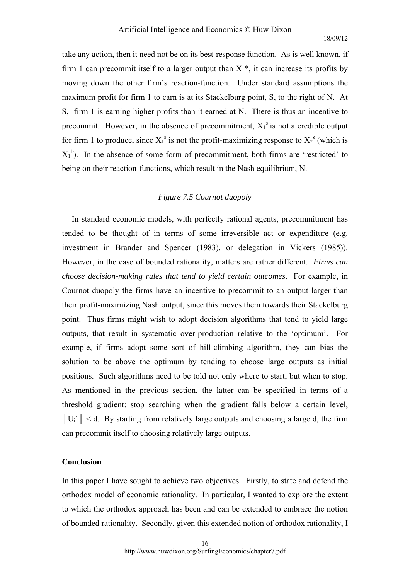take any action, then it need not be on its best-response function. As is well known, if firm 1 can precommit itself to a larger output than  $X_1^*$ , it can increase its profits by moving down the other firm's reaction-function. Under standard assumptions the maximum profit for firm 1 to earn is at its Stackelburg point, S, to the right of N. At S, firm 1 is earning higher profits than it earned at N. There is thus an incentive to precommit. However, in the absence of precommitment,  $X_1^s$  is not a credible output for firm 1 to produce, since  $X_1^s$  is not the profit-maximizing response to  $X_2^s$  (which is  $X_1^1$ ). In the absence of some form of precommitment, both firms are 'restricted' to being on their reaction-functions, which result in the Nash equilibrium, N.

### *Figure 7.5 Cournot duopoly*

 In standard economic models, with perfectly rational agents, precommitment has tended to be thought of in terms of some irreversible act or expenditure (e.g. investment in Brander and Spencer (1983), or delegation in Vickers (1985)). However, in the case of bounded rationality, matters are rather different. *Firms can choose decision-making rules that tend to yield certain outcomes*. For example, in Cournot duopoly the firms have an incentive to precommit to an output larger than their profit-maximizing Nash output, since this moves them towards their Stackelburg point. Thus firms might wish to adopt decision algorithms that tend to yield large outputs, that result in systematic over-production relative to the 'optimum'. For example, if firms adopt some sort of hill-climbing algorithm, they can bias the solution to be above the optimum by tending to choose large outputs as initial positions. Such algorithms need to be told not only where to start, but when to stop. As mentioned in the previous section, the latter can be specified in terms of a threshold gradient: stop searching when the gradient falls below a certain level,  $|U_i'|$  < d. By starting from relatively large outputs and choosing a large d, the firm can precommit itself to choosing relatively large outputs.

#### **Conclusion**

In this paper I have sought to achieve two objectives. Firstly, to state and defend the orthodox model of economic rationality. In particular, I wanted to explore the extent to which the orthodox approach has been and can be extended to embrace the notion of bounded rationality. Secondly, given this extended notion of orthodox rationality, I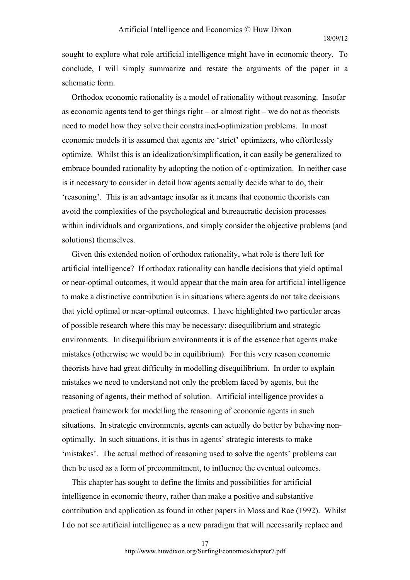sought to explore what role artificial intelligence might have in economic theory. To conclude, I will simply summarize and restate the arguments of the paper in a schematic form.

 Orthodox economic rationality is a model of rationality without reasoning. Insofar as economic agents tend to get things right – or almost right – we do not as theorists need to model how they solve their constrained-optimization problems. In most economic models it is assumed that agents are 'strict' optimizers, who effortlessly optimize. Whilst this is an idealization/simplification, it can easily be generalized to embrace bounded rationality by adopting the notion of ε-optimization. In neither case is it necessary to consider in detail how agents actually decide what to do, their 'reasoning'. This is an advantage insofar as it means that economic theorists can avoid the complexities of the psychological and bureaucratic decision processes within individuals and organizations, and simply consider the objective problems (and solutions) themselves.

 Given this extended notion of orthodox rationality, what role is there left for artificial intelligence? If orthodox rationality can handle decisions that yield optimal or near-optimal outcomes, it would appear that the main area for artificial intelligence to make a distinctive contribution is in situations where agents do not take decisions that yield optimal or near-optimal outcomes. I have highlighted two particular areas of possible research where this may be necessary: disequilibrium and strategic environments. In disequilibrium environments it is of the essence that agents make mistakes (otherwise we would be in equilibrium). For this very reason economic theorists have had great difficulty in modelling disequilibrium. In order to explain mistakes we need to understand not only the problem faced by agents, but the reasoning of agents, their method of solution. Artificial intelligence provides a practical framework for modelling the reasoning of economic agents in such situations. In strategic environments, agents can actually do better by behaving nonoptimally. In such situations, it is thus in agents' strategic interests to make 'mistakes'. The actual method of reasoning used to solve the agents' problems can then be used as a form of precommitment, to influence the eventual outcomes.

 This chapter has sought to define the limits and possibilities for artificial intelligence in economic theory, rather than make a positive and substantive contribution and application as found in other papers in Moss and Rae (1992). Whilst I do not see artificial intelligence as a new paradigm that will necessarily replace and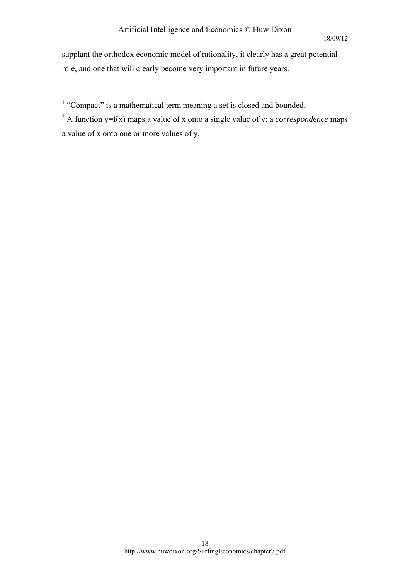supplant the orthodox economic model of rationality, it clearly has a great potential role, and one that will clearly become very important in future years.

<sup>&</sup>lt;sup>1</sup> "Compact" is a mathematical term meaning a set is closed and bounded.

<sup>&</sup>lt;sup>2</sup> A function y=f(x) maps a value of x onto a single value of y; a *correspondence* maps a value of x onto one or more values of y.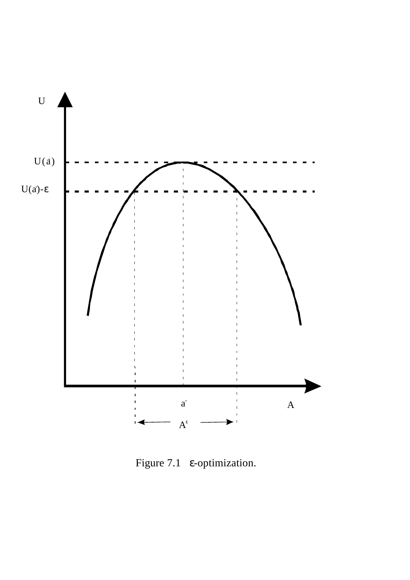

Figure 7.1  $\varepsilon$ -optimization.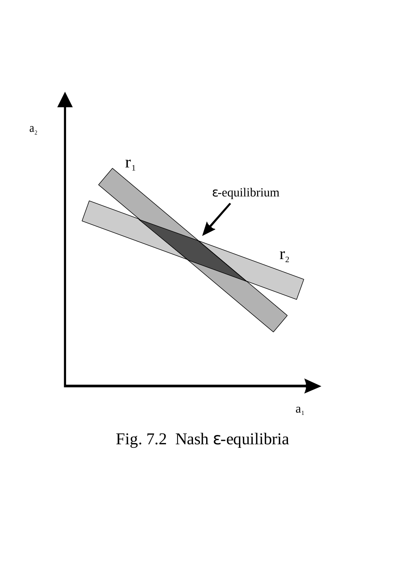

Fig. 7.2 Nash  $\varepsilon$ -equilibria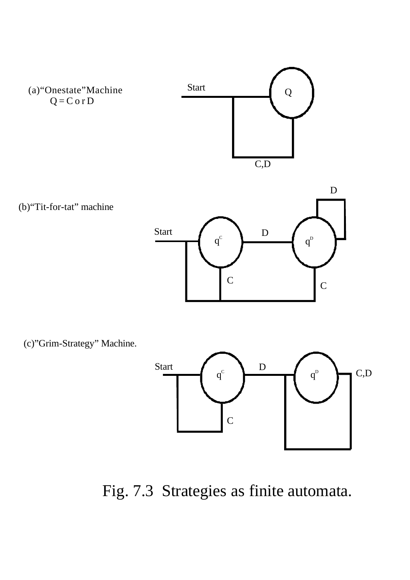



(b)"Tit-for-tat" machine

(c)"Grim-Strategy" Machine.



Fig. 7.3 Strategies as finite automata.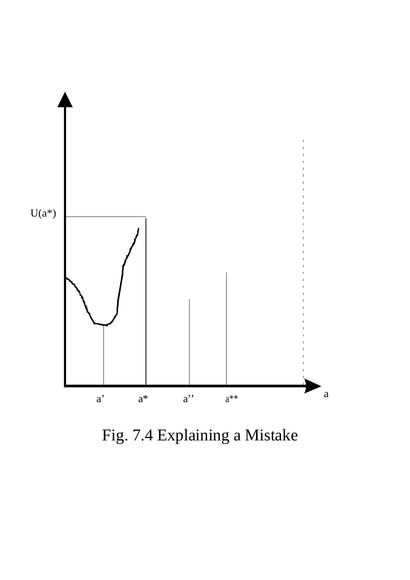

Fig. 7.4 Explaining a Mistake